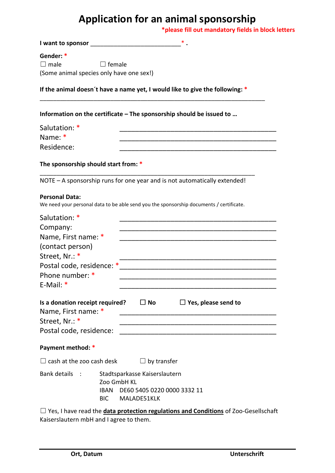# **Application for an animal sponsorship**

**\*please fill out mandatory fields in block letters**

| Gender: *<br>$\square$ male                                                                                                                           | $\Box$ female<br>(Some animal species only have one sex!)                                                                    |  |
|-------------------------------------------------------------------------------------------------------------------------------------------------------|------------------------------------------------------------------------------------------------------------------------------|--|
|                                                                                                                                                       | If the animal doesn't have a name yet, I would like to give the following: *                                                 |  |
|                                                                                                                                                       | Information on the certificate – The sponsorship should be issued to                                                         |  |
| Salutation: *<br>Name: *<br>Residence:                                                                                                                | <u> 1989 - Johann John Stone, markin film yn y brenin y brenin y brenin y brenin y brenin y brenin y brenin y br</u>         |  |
| The sponsorship should start from: *                                                                                                                  |                                                                                                                              |  |
|                                                                                                                                                       | NOTE - A sponsorship runs for one year and is not automatically extended!                                                    |  |
| <b>Personal Data:</b>                                                                                                                                 | We need your personal data to be able send you the sponsorship documents / certificate.                                      |  |
| Salutation: *<br>Company:<br>Name, First name: *<br>(contact person)<br>Street, Nr.: *<br>Postal code, residence: *<br>Phone number: *<br>$E-Mail:$ * |                                                                                                                              |  |
| Name, First name: *<br>Street, Nr.: *<br>Postal code, residence:                                                                                      | Is a donation receipt required? $\Box$ No $\Box$ Yes, please send to<br><u> 1980 - Johann Barn, fransk politik (f. 1980)</u> |  |
| Payment method: *                                                                                                                                     |                                                                                                                              |  |
| $\Box$ cash at the zoo cash desk                                                                                                                      | $\Box$ by transfer                                                                                                           |  |
| Bank details    :                                                                                                                                     | Stadtsparkasse Kaiserslautern<br>Zoo GmbH KL<br><b>IBAN</b><br>DE60 5405 0220 0000 3332 11<br>BIC MALADE51KLK                |  |
|                                                                                                                                                       | $\Box$ Yes, I have read the <b>data protection regulations and Conditions</b> of Zoo-Gesellschaft                            |  |

Kaiserslautern mbH and I agree to them.